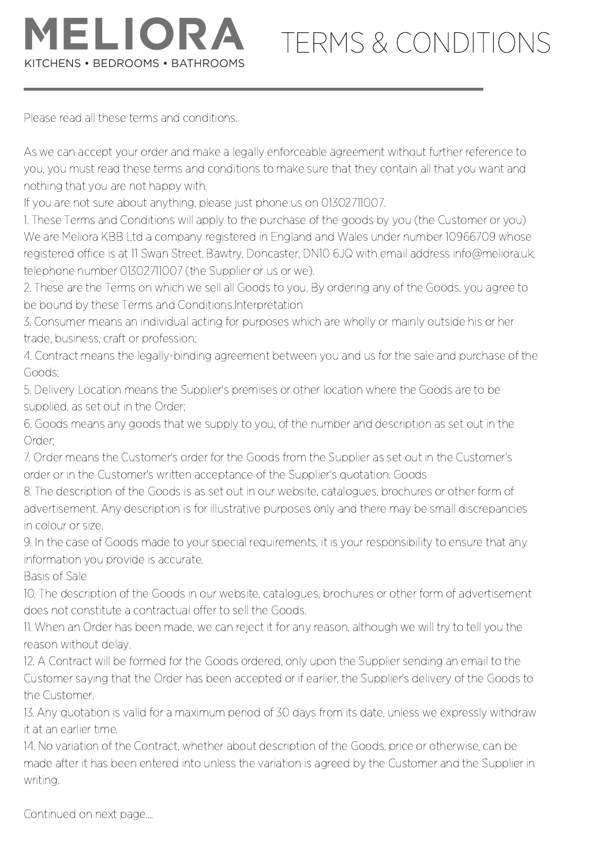

## TERMS & CONDITIONS

Please read all these terms and conditions.

As we can accept your order and make a legally enforceable agreement without further reference to you, you must read these terms and conditions to make sure that they contain all that you want and nothing that you are not happy with.

If you are not sure about anything, please just phone us on 01302711007.

1. These Terms and Conditions will apply to the purchase of the goods by you (the Customer or you) We are Meliora KBB Ltd a company registered in England and Wales under number 10966709 whose registered office is at 11 Swan Street, Bawtry, Doncaster, DN10 6JQ with email address info@meliora.uk; telephone number 01302711007 (the Supplier or us or we).

2. These are the Terms on which we sell all Goods to you. By ordering any of the Goods, you agree to be bound by these Terms and Conditions.Interpretation

3. Consumer means an individual acting for purposes which are wholly or mainly outside his or her trade, business, craft or profession;

4. Contract means the legally-binding agreement between you and us for the sale and purchase of the Goods;

5. Delivery Location means the Supplier's premises or other location where the Goods are to be supplied, as set out in the Order;

6. Goods means any goods that we supply to you, of the number and description as set out in the Order;

7. Order means the Customer's order for the Goods from the Supplier as set out in the Customer's order or in the Customer's written acceptance of the Supplier's quotation. Goods

8. The description of the Goods is as set out in our website, catalogues, brochures or other form of advertisement. Any description is for illustrative purposes only and there may be small discrepancies in colour or size.

9. In the case of Goods made to your special requirements, it is your responsibility to ensure that any information you provide is accurate.

Basis of Sale

10. The description of the Goods in our website, catalogues, brochures or other form of advertisement does not constitute a contractual offer to sell the Goods.

11. When an Order has been made, we can reject it for any reason, although we will try to tell you the reason without delay.

12. A Contract will be formed for the Goods ordered, only upon the Supplier sending an email to the Customer saying that the Order has been accepted or if earlier, the Supplier's delivery of the Goods to the Customer.

13. Any quotation is valid for a maximum period of 30 days from its date, unless we expressly withdraw it at an earlier time.

14. No variation of the Contract, whether about description of the Goods, price or otherwise, can be made after it has been entered into unless the variation is agreed by the Customer and the Supplier in writing.

Continued on next page....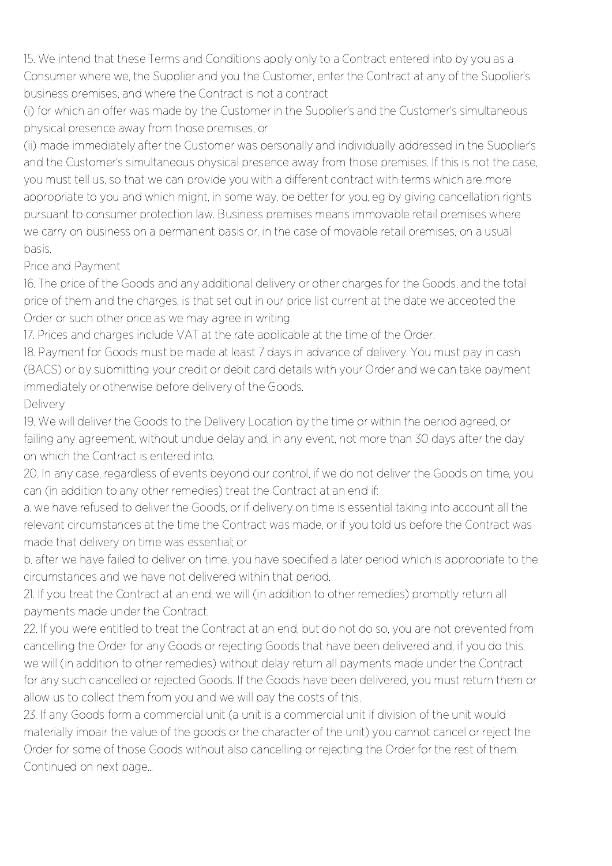15. We intend that these Terms and Conditions apply only to a Contract entered into by you as a Consumer where we, the Supplier and you the Customer, enter the Contract at any of the Supplier's business premises, and where the Contract is not a contract

(i) for which an offer was made by the Customer in the Supplier's and the Customer's simultaneous physical presence away from those premises, or

(ii) made immediately after the Customer was personally and individually addressed in the Supplier's and the Customer's simultaneous physical presence away from those premises. If this is not the case, you must tell us, so that we can provide you with a different contract with terms which are more appropriate to you and which might, in some way, be better for you, eg by giving cancellation rights pursuant to consumer protection law. Business premises means immovable retail premises where we carry on business on a permanent basis or, in the case of movable retail premises, on a usual basis.

## Price and Payment

16. The price of the Goods and any additional delivery or other charges for the Goods, and the total price of them and the charges, is that set out in our price list current at the date we accepted the Order or such other price as we may agree in writing.

17. Prices and charges include VAT at the rate applicable at the time of the Order.

18. Payment for Goods must be made at least 7 days in advance of delivery. You must pay in cash (BACS) or by submitting your credit or debit card details with your Order and we can take payment immediately or otherwise before delivery of the Goods.

## **Delivery**

19. We will deliver the Goods to the Delivery Location by the time or within the period agreed, or failing any agreement, without undue delay and, in any event, not more than 30 days after the day on which the Contract is entered into.

20. In any case, regardless of events beyond our control, if we do not deliver the Goods on time, you can (in addition to any other remedies) treat the Contract at an end if:

a. we have refused to deliver the Goods, or if delivery on time is essential taking into account all the relevant circumstances at the time the Contract was made, or if you told us before the Contract was made that delivery on time was essential; or

b. after we have failed to deliver on time, you have specified a later period which is appropriate to the circumstances and we have not delivered within that period.

21. If you treat the Contract at an end, we will (in addition to other remedies) promptly return all payments made under the Contract.

22. If you were entitled to treat the Contract at an end, but do not do so, you are not prevented from cancelling the Order for any Goods or rejecting Goods that have been delivered and, if you do this, we will (in addition to other remedies) without delay return all payments made under the Contract for any such cancelled or rejected Goods. If the Goods have been delivered, you must return them or allow us to collect them from you and we will pay the costs of this.

23. If any Goods form a commercial unit (a unit is a commercial unit if division of the unit would materially impair the value of the goods or the character of the unit) you cannot cancel or reject the Order for some of those Goods without also cancelling or rejecting the Order for the rest of them. Continued on next page...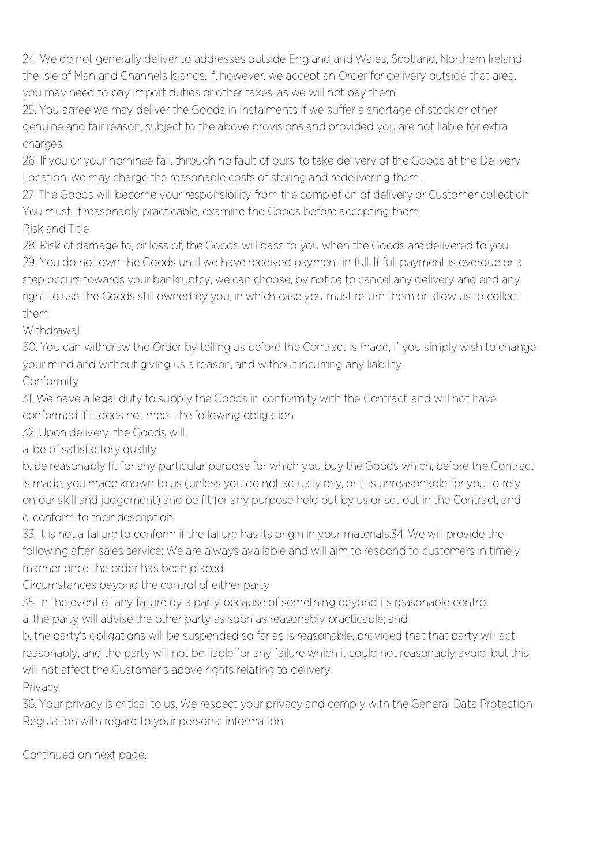24. We do not generally deliver to addresses outside England and Wales, Scotland, Northern Ireland, the Isle of Man and Channels Islands. If, however, we accept an Order for delivery outside that area, you may need to pay import duties or other taxes, as we will not pay them.

25. You agree we may deliver the Goods in instalments if we suffer a shortage of stock or other genuine and fair reason, subject to the above provisions and provided you are not liable for extra charges.

26. If you or your nominee fail, through no fault of ours, to take delivery of the Goods at the Delivery Location, we may charge the reasonable costs of storing and redelivering them.

27. The Goods will become your responsibility from the completion of delivery or Customer collection. You must, if reasonably practicable, examine the Goods before accepting them.

Risk and Title

28. Risk of damage to, or loss of, the Goods will pass to you when the Goods are delivered to you. 29. You do not own the Goods until we have received payment in full. If full payment is overdue or a step occurs towards your bankruptcy, we can choose, by notice to cancel any delivery and end any right to use the Goods still owned by you, in which case you must return them or allow us to collect them.

Withdrawal

30. You can withdraw the Order by telling us before the Contract is made, if you simply wish to change your mind and without giving us a reason, and without incurring any liability.

Conformity

31. We have a legal duty to supply the Goods in conformity with the Contract, and will not have conformed if it does not meet the following obligation.

32. Upon delivery, the Goods will:

a. be of satisfactory quality

b. be reasonably fit for any particular purpose for which you buy the Goods which, before the Contract is made, you made known to us (unless you do not actually rely, or it is unreasonable for you to rely, on our skill and judgement) and be fit for any purpose held out by us or set out in the Contract; and c. conform to their description.

33. It is not a failure to conform if the failure has its origin in your materials.34. We will provide the following after-sales service: We are always available and will aim to respond to customers in timely manner once the order has been placed

Circumstances beyond the control of either party

35. In the event of any failure by a party because of something beyond its reasonable control: a. the party will advise the other party as soon as reasonably practicable; and

b. the party's obligations will be suspended so far as is reasonable, provided that that party will act reasonably, and the party will not be liable for any failure which it could not reasonably avoid, but this will not affect the Customer's above rights relating to delivery.

Privacy 36. Your privacy is critical to us. We respect your privacy and comply with the General Data Protection Regulation with regard to your personal information.

Continued on next page.